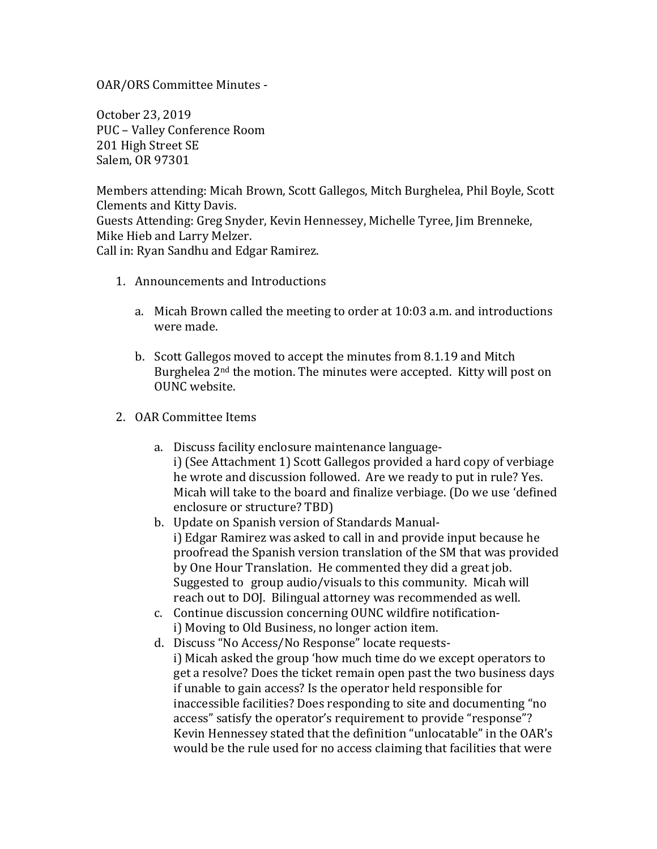OAR/ORS Committee Minutes -

October 23, 2019 PUC – Valley Conference Room 201 High Street SE Salem, OR 97301

Members attending: Micah Brown, Scott Gallegos, Mitch Burghelea, Phil Boyle, Scott Clements and Kitty Davis. Guests Attending: Greg Snyder, Kevin Hennessey, Michelle Tyree, Jim Brenneke, Mike Hieb and Larry Melzer. Call in: Ryan Sandhu and Edgar Ramirez.

- 1. Announcements and Introductions
	- a. Micah Brown called the meeting to order at  $10:03$  a.m. and introductions were made.
	- b. Scott Gallegos moved to accept the minutes from 8.1.19 and Mitch Burghelea  $2<sup>nd</sup>$  the motion. The minutes were accepted. Kitty will post on OUNC website.
- 2. OAR Committee Items
	- a. Discuss facility enclosure maintenance languagei) (See Attachment 1) Scott Gallegos provided a hard copy of verbiage he wrote and discussion followed. Are we ready to put in rule? Yes. Micah will take to the board and finalize verbiage. (Do we use 'defined enclosure or structure? TBD)
	- b. Update on Spanish version of Standards Manuali) Edgar Ramirez was asked to call in and provide input because he proofread the Spanish version translation of the SM that was provided by One Hour Translation. He commented they did a great job. Suggested to group audio/visuals to this community. Micah will reach out to DOJ. Bilingual attorney was recommended as well.
	- c. Continue discussion concerning OUNC wildfire notificationi) Moving to Old Business, no longer action item.
	- d. Discuss "No Access/No Response" locate requestsi) Micah asked the group 'how much time do we except operators to get a resolve? Does the ticket remain open past the two business days if unable to gain access? Is the operator held responsible for inaccessible facilities? Does responding to site and documenting "no access" satisfy the operator's requirement to provide "response"? Kevin Hennessey stated that the definition "unlocatable" in the OAR's would be the rule used for no access claiming that facilities that were